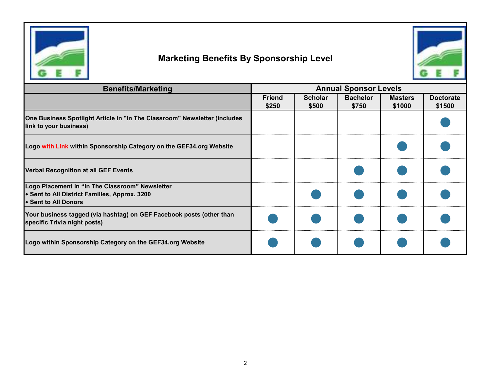

## Marketing Benefits By Sponsorship Level



| <b>Benefits/Marketing</b>                                                                                                              |                        | <b>Annual Sponsor Levels</b> |                          |                          |                            |  |
|----------------------------------------------------------------------------------------------------------------------------------------|------------------------|------------------------------|--------------------------|--------------------------|----------------------------|--|
|                                                                                                                                        | <b>Friend</b><br>\$250 | <b>Scholar</b><br>\$500      | <b>Bachelor</b><br>\$750 | <b>Masters</b><br>\$1000 | <b>Doctorate</b><br>\$1500 |  |
| <b>One Business Spotlight Article in "In The Classroom" Newsletter (includes</b><br>link to your business)                             |                        |                              |                          |                          |                            |  |
| Logo with Link within Sponsorship Category on the GEF34.org Website                                                                    |                        |                              |                          |                          |                            |  |
| <b>Verbal Recognition at all GEF Events</b>                                                                                            |                        |                              |                          |                          |                            |  |
| Logo Placement in "In The Classroom" Newsletter<br><b>• Sent to All District Families, Approx. 3200</b><br><b>• Sent to All Donors</b> |                        |                              |                          |                          |                            |  |
| Your business tagged (via hashtag) on GEF Facebook posts (other than<br>specific Trivia night posts)                                   |                        |                              |                          |                          |                            |  |
| Logo within Sponsorship Category on the GEF34.org Website                                                                              |                        |                              |                          |                          |                            |  |